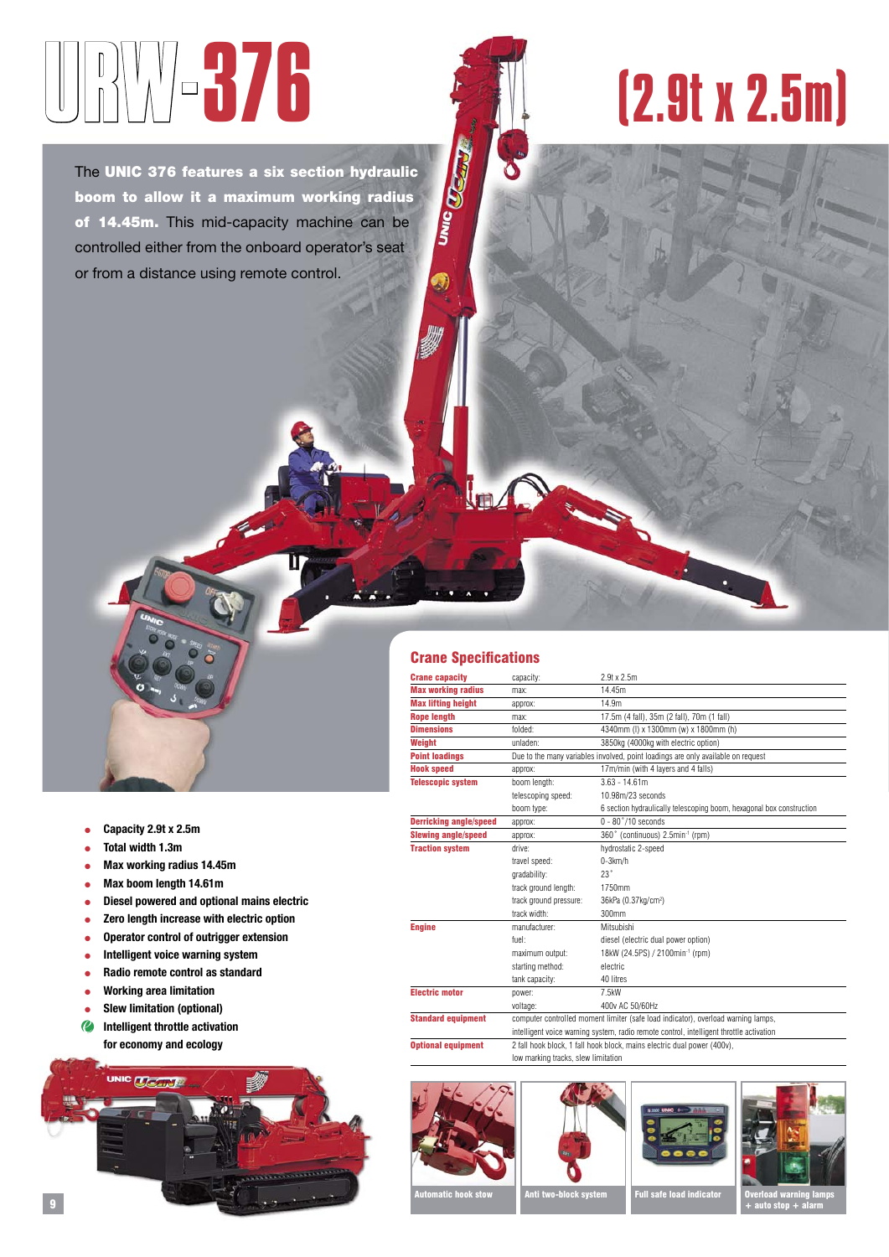## BUYV-376

The UNIC 376 features a six section hydraulic boom to allow it a maximum working radius of 14.45m. This mid-capacity machine can be controlled either from the onboard operator's seat or from a distance using remote control.

## (2.9t x 2.5m)

## ● **Capacity 2.9t x 2.5m**

- **Total width 1.3m**
- **Max working radius 14.45m**
- **Max boom length 14.61m**
- **Diesel powered and optional mains electric**
- **Zero length increase with electric option**
- **Operator control of outrigger extension**
- **Intelligent voice warning system**
- **Radio remote control as standard**
- **Working area limitation**
- **Slew limitation (optional)**
- **Intelligent throttle activation for economy and ecology**



## Crane Specifications

**UNIC TO STATE** 

| <b>Crane capacity</b>         | capacity:                                                                               | 2.9t x 2.5m                                                          |  |  |  |  |  |  |  |
|-------------------------------|-----------------------------------------------------------------------------------------|----------------------------------------------------------------------|--|--|--|--|--|--|--|
| <b>Max working radius</b>     | max:                                                                                    | 14.45m                                                               |  |  |  |  |  |  |  |
| <b>Max lifting height</b>     | approx:                                                                                 | 14.9m                                                                |  |  |  |  |  |  |  |
| <b>Rope length</b>            | max:                                                                                    | 17.5m (4 fall), 35m (2 fall), 70m (1 fall)                           |  |  |  |  |  |  |  |
| <b>Dimensions</b>             | folded:                                                                                 | 4340mm (I) x 1300mm (w) x 1800mm (h)                                 |  |  |  |  |  |  |  |
| Weight                        | unladen:                                                                                | 3850kg (4000kg with electric option)                                 |  |  |  |  |  |  |  |
| <b>Point loadings</b>         | Due to the many variables involved, point loadings are only available on request        |                                                                      |  |  |  |  |  |  |  |
| <b>Hook speed</b>             | approx:                                                                                 | 17m/min (with 4 layers and 4 falls)                                  |  |  |  |  |  |  |  |
| <b>Telescopic system</b>      | boom length:                                                                            | $3.63 - 14.61m$                                                      |  |  |  |  |  |  |  |
|                               | telescoping speed:                                                                      | 10.98m/23 seconds                                                    |  |  |  |  |  |  |  |
|                               | boom type:                                                                              | 6 section hydraulically telescoping boom, hexagonal box construction |  |  |  |  |  |  |  |
| <b>Derricking angle/speed</b> | approx:                                                                                 | $0 - 80$ °/10 seconds                                                |  |  |  |  |  |  |  |
| <b>Slewing angle/speed</b>    | approx:                                                                                 | 360° (continuous) 2.5min-1 (rpm)                                     |  |  |  |  |  |  |  |
| <b>Traction system</b>        | drive:                                                                                  | hydrostatic 2-speed                                                  |  |  |  |  |  |  |  |
|                               | travel speed:                                                                           | $0-3km/h$                                                            |  |  |  |  |  |  |  |
|                               | gradability:                                                                            | 23°                                                                  |  |  |  |  |  |  |  |
|                               | track ground length:                                                                    | 1750mm                                                               |  |  |  |  |  |  |  |
|                               | track ground pressure:                                                                  | 36kPa (0.37kg/cm <sup>2</sup> )                                      |  |  |  |  |  |  |  |
|                               | track width:                                                                            | 300mm                                                                |  |  |  |  |  |  |  |
| <b>Engine</b>                 | manufacturer:                                                                           | Mitsubishi                                                           |  |  |  |  |  |  |  |
|                               | fuel:                                                                                   | diesel (electric dual power option)                                  |  |  |  |  |  |  |  |
|                               | maximum output:                                                                         | 18kW (24.5PS) / 2100min <sup>-1</sup> (rpm)                          |  |  |  |  |  |  |  |
|                               | starting method:                                                                        | electric                                                             |  |  |  |  |  |  |  |
|                               | tank capacity:                                                                          | 40 litres                                                            |  |  |  |  |  |  |  |
| <b>Electric motor</b>         | power:                                                                                  | 7.5kW                                                                |  |  |  |  |  |  |  |
|                               | voltage:                                                                                | 400v AC 50/60Hz                                                      |  |  |  |  |  |  |  |
| <b>Standard equipment</b>     | computer controlled moment limiter (safe load indicator), overload warning lamps,       |                                                                      |  |  |  |  |  |  |  |
|                               | intelligent voice warning system, radio remote control, intelligent throttle activation |                                                                      |  |  |  |  |  |  |  |
| <b>Optional equipment</b>     | 2 fall hook block, 1 fall hook block, mains electric dual power (400v),                 |                                                                      |  |  |  |  |  |  |  |
|                               | low marking tracks, slew limitation                                                     |                                                                      |  |  |  |  |  |  |  |